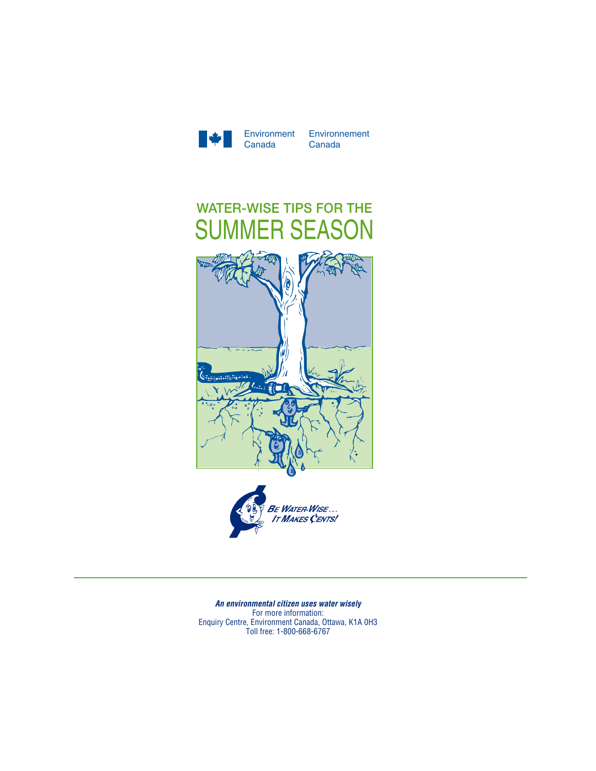

Environment Environnement Canada



*An environmental citizen uses water wisely* For more information: Enquiry Centre, Environment Canada, Ottawa, K1A 0H3 Toll free: 1-800-668-6767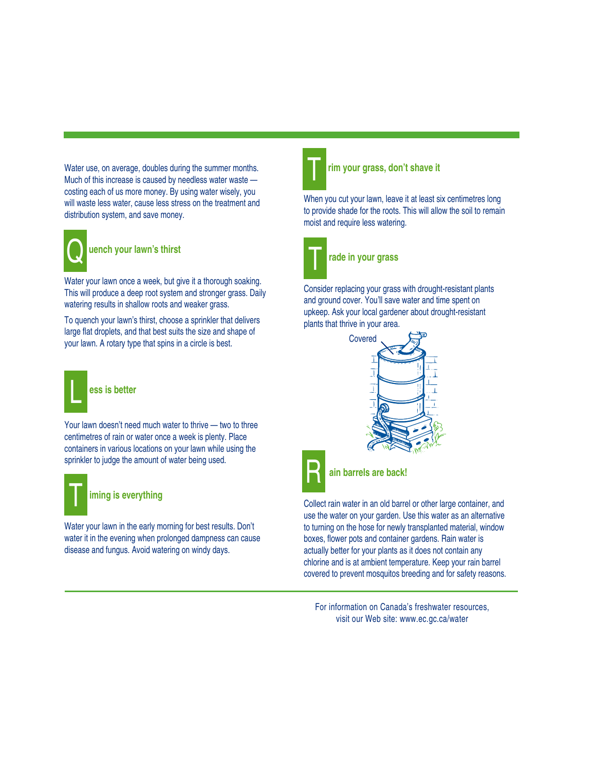Water use, on average, doubles during the summer months. Much of this increase is caused by needless water waste costing each of us more money. By using water wisely, you will waste less water, cause less stress on the treatment and distribution system, and save money.



## **uench your lawn's thirst**

Water your lawn once a week, but give it a thorough soaking. This will produce a deep root system and stronger grass. Daily watering results in shallow roots and weaker grass.

To quench your lawn's thirst, choose a sprinkler that delivers large flat droplets, and that best suits the size and shape of your lawn. A rotary type that spins in a circle is best.



Your lawn doesn't need much water to thrive — two to three centimetres of rain or water once a week is plenty. Place containers in various locations on your lawn while using the sprinkler to judge the amount of water being used.



## **iming is everything**

Water your lawn in the early morning for best results. Don't water it in the evening when prolonged dampness can cause disease and fungus. Avoid watering on windy days.



#### **rim your grass, don't shave it**

When you cut your lawn, leave it at least six centimetres long to provide shade for the roots. This will allow the soil to remain moist and require less watering.



# **rade in your grass**

Consider replacing your grass with drought-resistant plants and ground cover. You'll save water and time spent on upkeep. Ask your local gardener about drought-resistant plants that thrive in your area.





### **ain barrels are back!**

Collect rain water in an old barrel or other large container, and use the water on your garden. Use this water as an alternative to turning on the hose for newly transplanted material, window boxes, flower pots and container gardens. Rain water is actually better for your plants as it does not contain any chlorine and is at ambient temperature. Keep your rain barrel covered to prevent mosquitos breeding and for safety reasons.

visit our Web site: www.ec.gc.ca/water For information on Canada's freshwater resources,